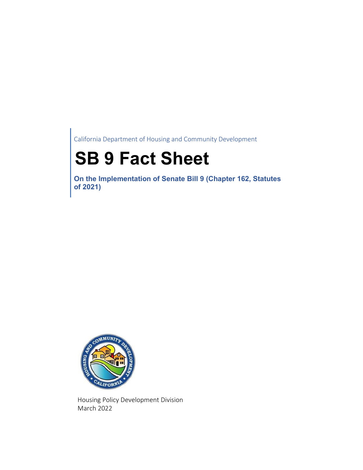California Department of Housing and Community Development

# **SB 9 Fact Sheet**

**On the Implementation of Senate Bill 9 (Chapter 162, Statutes of 2021)**



Housing Policy Development Division March 2022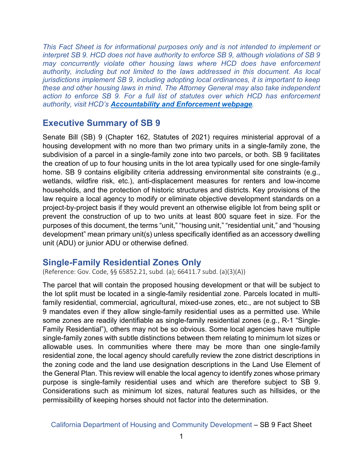*This Fact Sheet is for informational purposes only and is not intended to implement or interpret SB 9. HCD does not have authority to enforce SB 9, although violations of SB 9 may concurrently violate other housing laws where HCD does have enforcement authority, including but not limited to the laws addressed in this document. As local jurisdictions implement SB 9, including adopting local ordinances, it is important to keep these and other housing laws in mind. The Attorney General may also take independent action to enforce SB 9. For a full list of statutes over which HCD has enforcement authority, visit HCD's [Accountability and Enforcement webpage](https://www.hcd.ca.gov/community-development/accountability-enforcement.shtml).* 

# **Executive Summary of SB 9**

Senate Bill (SB) 9 (Chapter 162, Statutes of 2021) requires ministerial approval of a housing development with no more than two primary units in a single-family zone, the subdivision of a parcel in a single-family zone into two parcels, or both. SB 9 facilitates the creation of up to four housing units in the lot area typically used for one single-family home. SB 9 contains eligibility criteria addressing environmental site constraints (e.g., wetlands, wildfire risk, etc.), anti-displacement measures for renters and low-income households, and the protection of historic structures and districts. Key provisions of the law require a local agency to modify or eliminate objective development standards on a project-by-project basis if they would prevent an otherwise eligible lot from being split or prevent the construction of up to two units at least 800 square feet in size. For the purposes of this document, the terms "unit," "housing unit," "residential unit," and "housing development" mean primary unit(s) unless specifically identified as an accessory dwelling unit (ADU) or junior ADU or otherwise defined.

# **Single-Family Residential Zones Only**

(Reference: Gov. Code, §§ 65852.21, subd. (a); 66411.7 subd. (a)(3)(A))

The parcel that will contain the proposed housing development or that will be subject to the lot split must be located in a single-family residential zone. Parcels located in multifamily residential, commercial, agricultural, mixed-use zones, etc., are not subject to SB 9 mandates even if they allow single-family residential uses as a permitted use. While some zones are readily identifiable as single-family residential zones (e.g., R-1 "Single-Family Residential"), others may not be so obvious. Some local agencies have multiple single-family zones with subtle distinctions between them relating to minimum lot sizes or allowable uses. In communities where there may be more than one single-family residential zone, the local agency should carefully review the zone district descriptions in the zoning code and the land use designation descriptions in the Land Use Element of the General Plan. This review will enable the local agency to identify zones whose primary purpose is single-family residential uses and which are therefore subject to SB 9. Considerations such as minimum lot sizes, natural features such as hillsides, or the permissibility of keeping horses should not factor into the determination.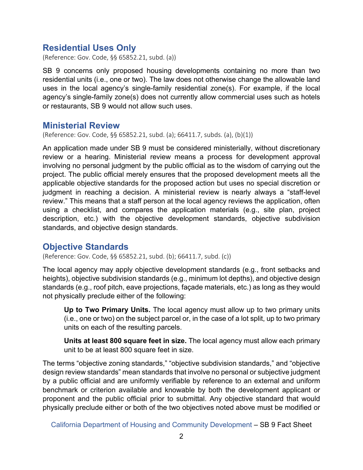# **Residential Uses Only**

(Reference: Gov. Code, §§ 65852.21, subd. (a))

SB 9 concerns only proposed housing developments containing no more than two residential units (i.e., one or two). The law does not otherwise change the allowable land uses in the local agency's single-family residential zone(s). For example, if the local agency's single-family zone(s) does not currently allow commercial uses such as hotels or restaurants, SB 9 would not allow such uses.

#### **Ministerial Review**

(Reference: Gov. Code, §§ 65852.21, subd. (a); 66411.7, subds. (a), (b)(1))

An application made under SB 9 must be considered ministerially, without discretionary review or a hearing. Ministerial review means a process for development approval involving no personal judgment by the public official as to the wisdom of carrying out the project. The public official merely ensures that the proposed development meets all the applicable objective standards for the proposed action but uses no special discretion or judgment in reaching a decision. A ministerial review is nearly always a "staff-level review." This means that a staff person at the local agency reviews the application, often using a checklist, and compares the application materials (e.g., site plan, project description, etc.) with the objective development standards, objective subdivision standards, and objective design standards.

### **Objective Standards**

(Reference: Gov. Code, §§ 65852.21, subd. (b); 66411.7, subd. (c))

The local agency may apply objective development standards (e.g., front setbacks and heights), objective subdivision standards (e.g., minimum lot depths), and objective design standards (e.g., roof pitch, eave projections, façade materials, etc.) as long as they would not physically preclude either of the following:

**Up to Two Primary Units.** The local agency must allow up to two primary units (i.e., one or two) on the subject parcel or, in the case of a lot split, up to two primary units on each of the resulting parcels.

**Units at least 800 square feet in size.** The local agency must allow each primary unit to be at least 800 square feet in size.

The terms "objective zoning standards," "objective subdivision standards," and "objective design review standards" mean standards that involve no personal or subjective judgment by a public official and are uniformly verifiable by reference to an external and uniform benchmark or criterion available and knowable by both the development applicant or proponent and the public official prior to submittal. Any objective standard that would physically preclude either or both of the two objectives noted above must be modified or

California Department of Housing and Community Development – SB 9 Fact Sheet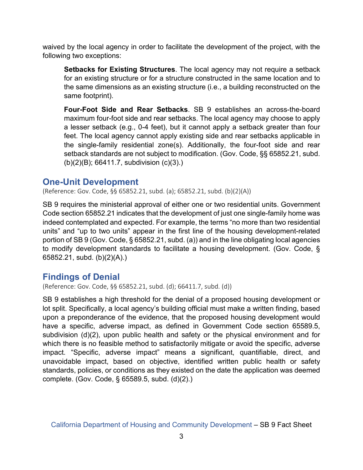waived by the local agency in order to facilitate the development of the project, with the following two exceptions:

**Setbacks for Existing Structures**. The local agency may not require a setback for an existing structure or for a structure constructed in the same location and to the same dimensions as an existing structure (i.e., a building reconstructed on the same footprint).

**Four-Foot Side and Rear Setbacks**. SB 9 establishes an across-the-board maximum four-foot side and rear setbacks. The local agency may choose to apply a lesser setback (e.g., 0-4 feet), but it cannot apply a setback greater than four feet. The local agency cannot apply existing side and rear setbacks applicable in the single-family residential zone(s). Additionally, the four-foot side and rear setback standards are not subject to modification. (Gov. Code, §§ 65852.21, subd. (b)(2)(B); 66411.7, subdivision (c)(3).)

# **One-Unit Development**

(Reference: Gov. Code, §§ 65852.21, subd. (a); 65852.21, subd. (b)(2)(A))

SB 9 requires the ministerial approval of either one or two residential units. Government Code section 65852.21 indicates that the development of just one single-family home was indeed contemplated and expected. For example, the terms "no more than two residential units" and "up to two units" appear in the first line of the housing development-related portion of SB 9 (Gov. Code, § 65852.21, subd. (a)) and in the line obligating local agencies to modify development standards to facilitate a housing development. (Gov. Code, § 65852.21, subd. (b)(2)(A).)

# **Findings of Denial**

(Reference: Gov. Code, §§ 65852.21, subd. (d); 66411.7, subd. (d))

SB 9 establishes a high threshold for the denial of a proposed housing development or lot split. Specifically, a local agency's building official must make a written finding, based upon a preponderance of the evidence, that the proposed housing development would have a specific, adverse impact, as defined in Government Code section 65589.5, subdivision (d)(2), upon public health and safety or the physical environment and for which there is no feasible method to satisfactorily mitigate or avoid the specific, adverse impact. "Specific, adverse impact" means a significant, quantifiable, direct, and unavoidable impact, based on objective, identified written public health or safety standards, policies, or conditions as they existed on the date the application was deemed complete. (Gov. Code, § 65589.5, subd. (d)(2).)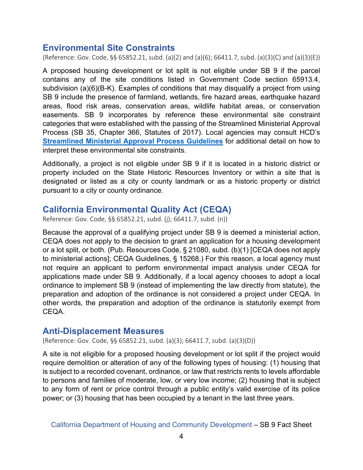## **Environmental Site Constraints**

(Reference: Gov. Code, §§ 65852.21, subd. (a)(2) and (a)(6); 66411.7, subd. (a)(3)(C) and (a)(3)(E))

A proposed housing development or lot split is not eligible under SB 9 if the parcel contains any of the site conditions listed in Government Code section 65913.4, subdivision (a)(6)(B-K). Examples of conditions that may disqualify a project from using SB 9 include the presence of farmland, wetlands, fire hazard areas, earthquake hazard areas, flood risk areas, conservation areas, wildlife habitat areas, or conservation easements. SB 9 incorporates by reference these environmental site constraint categories that were established with the passing of the Streamlined Ministerial Approval Process (SB 35, Chapter 366, Statutes of 2017). Local agencies may consult HCD's **[Streamlined Ministerial Approval Process Guidelines](https://hcd.ca.gov/policy-research/docs/sb-35-guidelines-update-final.pdf)** for additional detail on how to interpret these environmental site constraints.

Additionally, a project is not eligible under SB 9 if it is located in a historic district or property included on the State Historic Resources Inventory or within a site that is designated or listed as a city or county landmark or as a historic property or district pursuant to a city or county ordinance.

# **California Environmental Quality Act (CEQA)**

Reference: Gov. Code, §§ 65852.21, subd. (j); 66411.7, subd. (n))

Because the approval of a qualifying project under SB 9 is deemed a ministerial action, CEQA does not apply to the decision to grant an application for a housing development or a lot split, or both. (Pub. Resources Code, § 21080, subd. (b)(1) [CEQA does not apply to ministerial actions]; CEQA Guidelines, § 15268.) For this reason, a local agency must not require an applicant to perform environmental impact analysis under CEQA for applications made under SB 9. Additionally, if a local agency chooses to adopt a local ordinance to implement SB 9 (instead of implementing the law directly from statute), the preparation and adoption of the ordinance is not considered a project under CEQA. In other words, the preparation and adoption of the ordinance is statutorily exempt from CEQA.

### **Anti-Displacement Measures**

(Reference: Gov. Code, §§ 65852.21, subd. (a)(3); 66411.7, subd. (a)(3)(D))

A site is not eligible for a proposed housing development or lot split if the project would require demolition or alteration of any of the following types of housing: (1) housing that is subject to a recorded covenant, ordinance, or law that restricts rents to levels affordable to persons and families of moderate, low, or very low income; (2) housing that is subject to any form of rent or price control through a public entity's valid exercise of its police power; or (3) housing that has been occupied by a tenant in the last three years.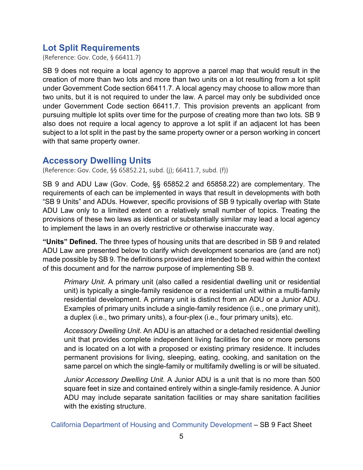## **Lot Split Requirements**

(Reference: Gov. Code, § 66411.7)

SB 9 does not require a local agency to approve a parcel map that would result in the creation of more than two lots and more than two units on a lot resulting from a lot split under Government Code section 66411.7. A local agency may choose to allow more than two units, but it is not required to under the law. A parcel may only be subdivided once under Government Code section 66411.7. This provision prevents an applicant from pursuing multiple lot splits over time for the purpose of creating more than two lots. SB 9 also does not require a local agency to approve a lot split if an adjacent lot has been subject to a lot split in the past by the same property owner or a person working in concert with that same property owner.

## **Accessory Dwelling Units**

(Reference: Gov. Code, §§ 65852.21, subd. (j); 66411.7, subd. (f))

SB 9 and ADU Law (Gov. Code, §§ 65852.2 and 65858.22) are complementary. The requirements of each can be implemented in ways that result in developments with both "SB 9 Units" and ADUs. However, specific provisions of SB 9 typically overlap with State ADU Law only to a limited extent on a relatively small number of topics. Treating the provisions of these two laws as identical or substantially similar may lead a local agency to implement the laws in an overly restrictive or otherwise inaccurate way.

**"Units" Defined.** The three types of housing units that are described in SB 9 and related ADU Law are presented below to clarify which development scenarios are (and are not) made possible by SB 9. The definitions provided are intended to be read within the context of this document and for the narrow purpose of implementing SB 9.

*Primary Unit*. A primary unit (also called a residential dwelling unit or residential unit) is typically a single-family residence or a residential unit within a multi-family residential development. A primary unit is distinct from an ADU or a Junior ADU. Examples of primary units include a single-family residence (i.e., one primary unit), a duplex (i.e., two primary units), a four-plex (i.e., four primary units), etc.

*Accessory Dwelling Unit*. An ADU is an attached or a detached residential dwelling unit that provides complete independent living facilities for one or more persons and is located on a lot with a proposed or existing primary residence. It includes permanent provisions for living, sleeping, eating, cooking, and sanitation on the same parcel on which the single-family or multifamily dwelling is or will be situated.

*Junior Accessory Dwelling Unit*. A Junior ADU is a unit that is no more than 500 square feet in size and contained entirely within a single-family residence. A Junior ADU may include separate sanitation facilities or may share sanitation facilities with the existing structure.

California Department of Housing and Community Development – SB 9 Fact Sheet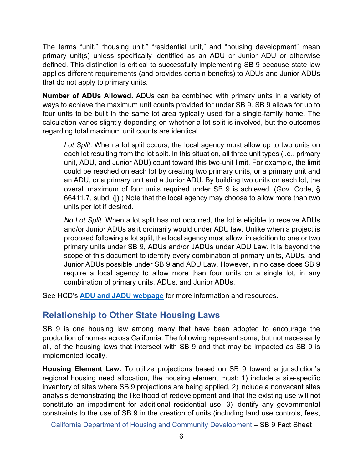The terms "unit," "housing unit," "residential unit," and "housing development" mean primary unit(s) unless specifically identified as an ADU or Junior ADU or otherwise defined. This distinction is critical to successfully implementing SB 9 because state law applies different requirements (and provides certain benefits) to ADUs and Junior ADUs that do not apply to primary units.

**Number of ADUs Allowed.** ADUs can be combined with primary units in a variety of ways to achieve the maximum unit counts provided for under SB 9. SB 9 allows for up to four units to be built in the same lot area typically used for a single-family home. The calculation varies slightly depending on whether a lot split is involved, but the outcomes regarding total maximum unit counts are identical.

*Lot Split*. When a lot split occurs, the local agency must allow up to two units on each lot resulting from the lot split. In this situation, all three unit types (i.e., primary unit, ADU, and Junior ADU) count toward this two-unit limit. For example, the limit could be reached on each lot by creating two primary units, or a primary unit and an ADU, or a primary unit and a Junior ADU. By building two units on each lot, the overall maximum of four units required under SB 9 is achieved. (Gov. Code, § 66411.7, subd. (j).) Note that the local agency may choose to allow more than two units per lot if desired.

*No Lot Split*. When a lot split has not occurred, the lot is eligible to receive ADUs and/or Junior ADUs as it ordinarily would under ADU law. Unlike when a project is proposed following a lot split, the local agency must allow, in addition to one or two primary units under SB 9, ADUs and/or JADUs under ADU Law. It is beyond the scope of this document to identify every combination of primary units, ADUs, and Junior ADUs possible under SB 9 and ADU Law. However, in no case does SB 9 require a local agency to allow more than four units on a single lot, in any combination of primary units, ADUs, and Junior ADUs.

See HCD's **[ADU and JADU webpage](https://www.hcd.ca.gov/policy-research/accessorydwellingunits.shtml)** for more information and resources.

# **Relationship to Other State Housing Laws**

SB 9 is one housing law among many that have been adopted to encourage the production of homes across California. The following represent some, but not necessarily all, of the housing laws that intersect with SB 9 and that may be impacted as SB 9 is implemented locally.

**Housing Element Law.** To utilize projections based on SB 9 toward a jurisdiction's regional housing need allocation, the housing element must: 1) include a site-specific inventory of sites where SB 9 projections are being applied, 2) include a nonvacant sites analysis demonstrating the likelihood of redevelopment and that the existing use will not constitute an impediment for additional residential use, 3) identify any governmental constraints to the use of SB 9 in the creation of units (including land use controls, fees,

California Department of Housing and Community Development – SB 9 Fact Sheet